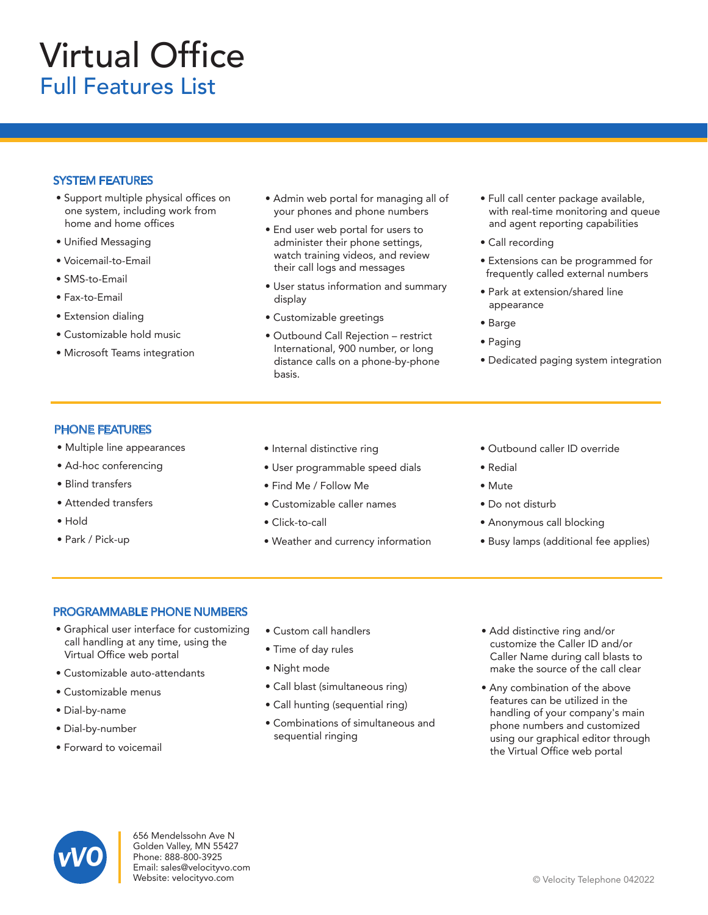# Virtual Office Full Features List

## SYSTEM FEATURES

- Support multiple physical offices on one system, including work from home and home offices
- Unified Messaging
- Voicemail-to-Email
- SMS-to-Email
- Fax-to-Email
- Extension dialing
- Customizable hold music
- Microsoft Teams integration
- Admin web portal for managing all of your phones and phone numbers
- End user web portal for users to administer their phone settings, watch training videos, and review their call logs and messages
- User status information and summary display
- Customizable greetings
- Outbound Call Rejection restrict International, 900 number, or long distance calls on a phone-by-phone basis.
- Full call center package available, with real-time monitoring and queue and agent reporting capabilities
- Call recording
- Extensions can be programmed for frequently called external numbers
- Park at extension/shared line appearance
- Barge
- Paging
- Dedicated paging system integration

## PHONE FEATURES

- Multiple line appearances
- Ad-hoc conferencing
- Blind transfers
- Attended transfers
- Hold
- Park / Pick-up
- Internal distinctive ring
- User programmable speed dials
- Find Me / Follow Me
- Customizable caller names
- Click-to-call
- Weather and currency information
- Outbound caller ID override
- Redial
- Mute
- Do not disturb
- Anonymous call blocking
- Busy lamps (additional fee applies)

#### PROGRAMMABLE PHONE NUMBERS

- Graphical user interface for customizing call handling at any time, using the Virtual Office web portal
- Customizable auto-attendants
- Customizable menus
- Dial-by-name
- Dial-by-number
- Forward to voicemail
- Custom call handlers
- Time of day rules
- Night mode
- Call blast (simultaneous ring)
- Call hunting (sequential ring)
- Combinations of simultaneous and sequential ringing
- Add distinctive ring and/or customize the Caller ID and/or Caller Name during call blasts to make the source of the call clear
- Any combination of the above features can be utilized in the handling of your company's main phone numbers and customized using our graphical editor through the Virtual Office web portal



656 Mendelssohn Ave N Golden Valley, MN 55427 Phone: 888-800-3925 Email: sales@velocityvo.com